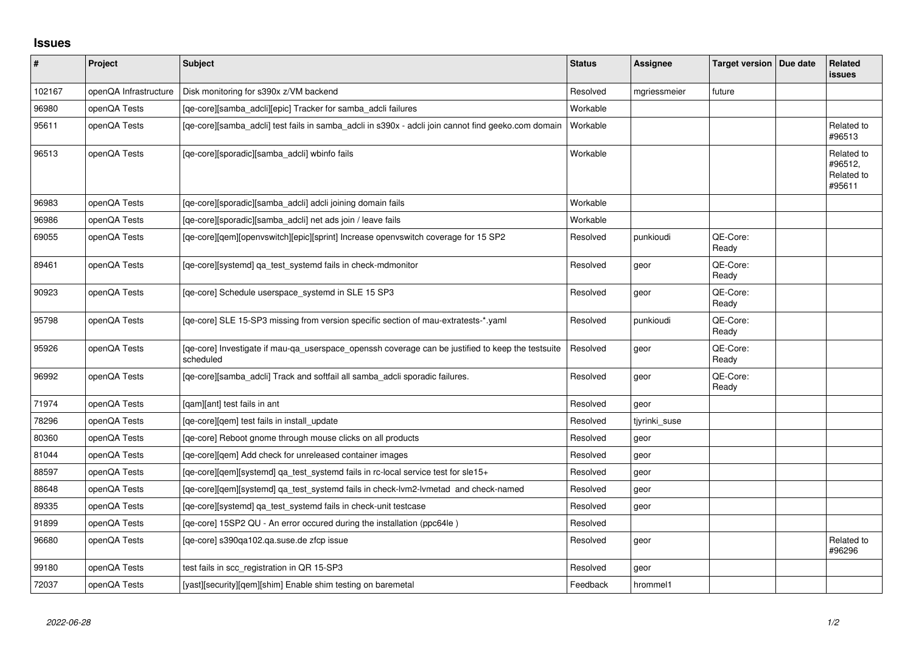## **Issues**

| #      | Project               | Subject                                                                                                        | <b>Status</b> | Assignee      | Target version   Due date | Related<br><b>issues</b>                      |
|--------|-----------------------|----------------------------------------------------------------------------------------------------------------|---------------|---------------|---------------------------|-----------------------------------------------|
| 102167 | openQA Infrastructure | Disk monitoring for s390x z/VM backend                                                                         | Resolved      | mgriessmeier  | future                    |                                               |
| 96980  | openQA Tests          | [qe-core][samba_adcli][epic] Tracker for samba_adcli failures                                                  | Workable      |               |                           |                                               |
| 95611  | openQA Tests          | [qe-core][samba_adcli] test fails in samba_adcli in s390x - adcli join cannot find geeko.com domain            | Workable      |               |                           | Related to<br>#96513                          |
| 96513  | openQA Tests          | [qe-core][sporadic][samba_adcli] wbinfo fails                                                                  | Workable      |               |                           | Related to<br>#96512,<br>Related to<br>#95611 |
| 96983  | openQA Tests          | [qe-core][sporadic][samba_adcli] adcli joining domain fails                                                    | Workable      |               |                           |                                               |
| 96986  | openQA Tests          | [qe-core][sporadic][samba_adcli] net ads join / leave fails                                                    | Workable      |               |                           |                                               |
| 69055  | openQA Tests          | [qe-core][qem][openvswitch][epic][sprint] Increase openvswitch coverage for 15 SP2                             | Resolved      | punkioudi     | QE-Core:<br>Ready         |                                               |
| 89461  | openQA Tests          | [qe-core][systemd] qa_test_systemd fails in check-mdmonitor                                                    | Resolved      | geor          | QE-Core:<br>Ready         |                                               |
| 90923  | openQA Tests          | [qe-core] Schedule userspace_systemd in SLE 15 SP3                                                             | Resolved      | geor          | QE-Core:<br>Ready         |                                               |
| 95798  | openQA Tests          | [qe-core] SLE 15-SP3 missing from version specific section of mau-extratests-*.yaml                            | Resolved      | punkioudi     | QE-Core:<br>Ready         |                                               |
| 95926  | openQA Tests          | [ge-core] Investigate if mau-ga userspace openssh coverage can be justified to keep the testsuite<br>scheduled | Resolved      | geor          | QE-Core:<br>Ready         |                                               |
| 96992  | openQA Tests          | [qe-core][samba_adcli] Track and softfail all samba_adcli sporadic failures.                                   | Resolved      | geor          | QE-Core:<br>Ready         |                                               |
| 71974  | openQA Tests          | [qam][ant] test fails in ant                                                                                   | Resolved      | geor          |                           |                                               |
| 78296  | openQA Tests          | [ge-core][gem] test fails in install update                                                                    | Resolved      | tiyrinki suse |                           |                                               |
| 80360  | openQA Tests          | [qe-core] Reboot gnome through mouse clicks on all products                                                    | Resolved      | geor          |                           |                                               |
| 81044  | openQA Tests          | [qe-core][qem] Add check for unreleased container images                                                       | Resolved      | geor          |                           |                                               |
| 88597  | openQA Tests          | [qe-core][qem][systemd] qa_test_systemd fails in rc-local service test for sle15+                              | Resolved      | geor          |                           |                                               |
| 88648  | openQA Tests          | [qe-core][qem][systemd] qa_test_systemd fails in check-lvm2-lvmetad and check-named                            | Resolved      | geor          |                           |                                               |
| 89335  | openQA Tests          | [qe-core][systemd] qa_test_systemd fails in check-unit testcase                                                | Resolved      | geor          |                           |                                               |
| 91899  | openQA Tests          | [qe-core] 15SP2 QU - An error occured during the installation (ppc64le)                                        | Resolved      |               |                           |                                               |
| 96680  | openQA Tests          | [ge-core] s390ga102.ga.suse.de zfcp issue                                                                      | Resolved      | geor          |                           | Related to<br>#96296                          |
| 99180  | openQA Tests          | test fails in scc_registration in QR 15-SP3                                                                    | Resolved      | geor          |                           |                                               |
| 72037  | openQA Tests          | [yast][security][gem][shim] Enable shim testing on baremetal                                                   | Feedback      | hrommel1      |                           |                                               |